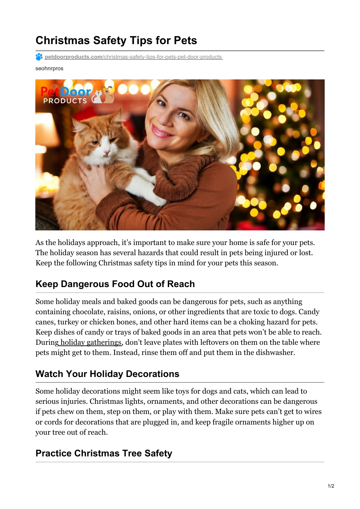# **Christmas Safety Tips for Pets**

**P4** petdoorproducts.com[/christmas-safety-tips-for-pets-pet-door-products](https://petdoorproducts.com/christmas-safety-tips-for-pets-pet-door-products/)

#### seohnrpros



As the holidays approach, it's important to make sure your home is safe for your pets. The holiday season has several hazards that could result in pets being injured or lost. Keep the following Christmas safety tips in mind for your pets this season.

### **Keep Dangerous Food Out of Reach**

Some holiday meals and baked goods can be dangerous for pets, such as anything containing chocolate, raisins, onions, or other ingredients that are toxic to dogs. Candy canes, turkey or chicken bones, and other hard items can be a choking hazard for pets. Keep dishes of candy or trays of baked goods in an area that pets won't be able to reach. During holiday [gatherings](https://petdoorproducts.com/how-to-keep-pets-calm-during-holiday-parties/), don't leave plates with leftovers on them on the table where pets might get to them. Instead, rinse them off and put them in the dishwasher.

### **Watch Your Holiday Decorations**

Some holiday decorations might seem like toys for dogs and cats, which can lead to serious injuries. Christmas lights, ornaments, and other decorations can be dangerous if pets chew on them, step on them, or play with them. Make sure pets can't get to wires or cords for decorations that are plugged in, and keep fragile ornaments higher up on your tree out of reach.

### **Practice Christmas Tree Safety**